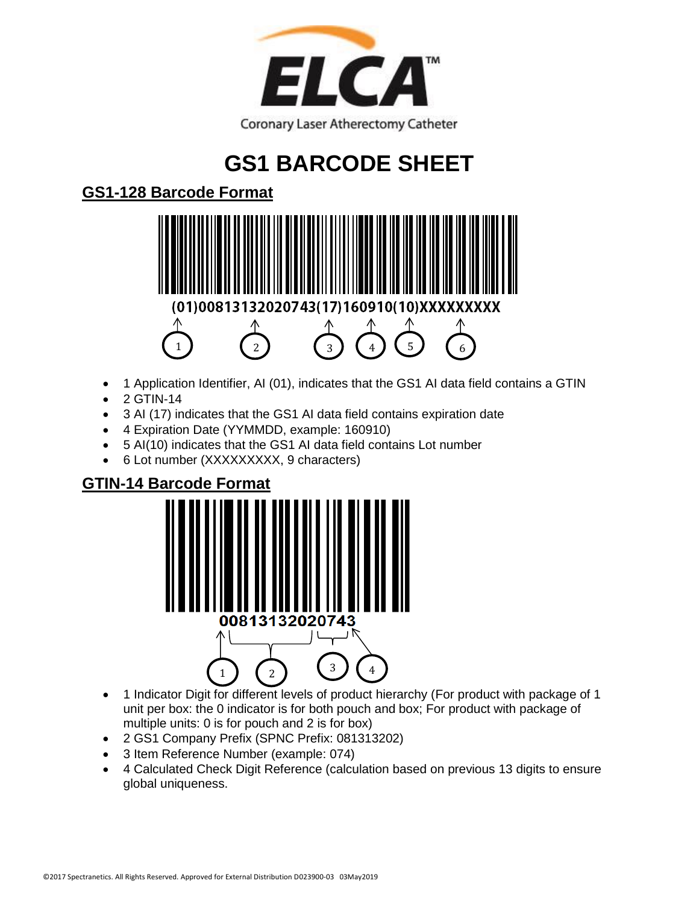

# **GS1 BARCODE SHEET**

### **GS1-128 Barcode Format**



- 1 Application Identifier, AI (01), indicates that the GS1 AI data field contains a GTIN
- $\bullet$  2 GTIN-14
- 3 AI (17) indicates that the GS1 AI data field contains expiration date
- 4 Expiration Date (YYMMDD, example: 160910)
- 5 AI(10) indicates that the GS1 AI data field contains Lot number
- 6 Lot number (XXXXXXXXX, 9 characters)

#### **GTIN-14 Barcode Format**



- 1 Indicator Digit for different levels of product hierarchy (For product with package of 1 unit per box: the 0 indicator is for both pouch and box; For product with package of multiple units: 0 is for pouch and 2 is for box)
- 2 GS1 Company Prefix (SPNC Prefix: 081313202)
- 3 Item Reference Number (example: 074)
- 4 Calculated Check Digit Reference (calculation based on previous 13 digits to ensure global uniqueness.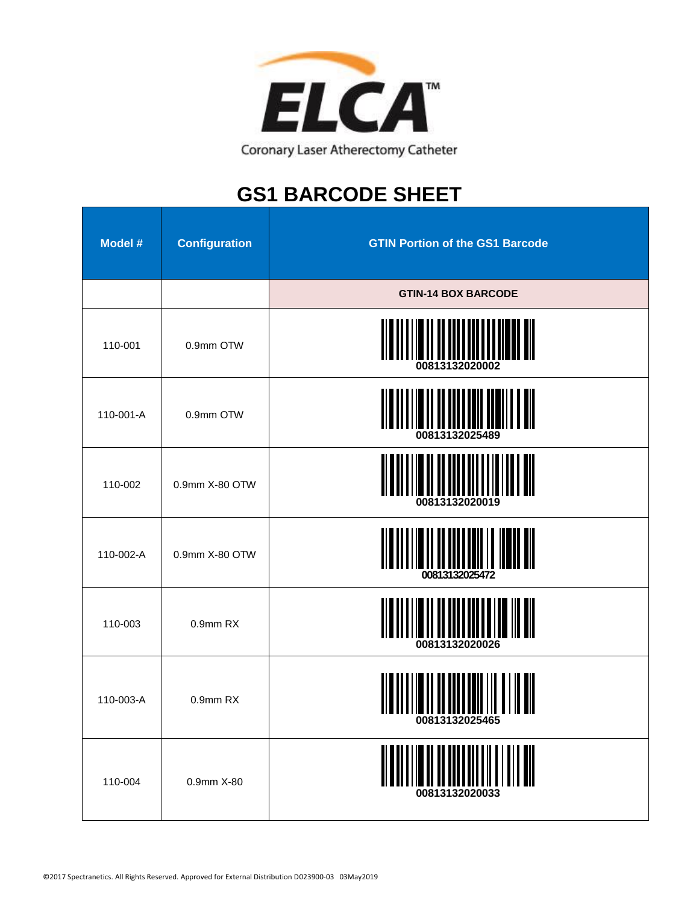

## **GS1 BARCODE SHEET**

| Model #   | <b>Configuration</b> | <b>GTIN Portion of the GS1 Barcode</b>           |
|-----------|----------------------|--------------------------------------------------|
|           |                      | <b>GTIN-14 BOX BARCODE</b>                       |
| 110-001   | 0.9mm OTW            |                                                  |
| 110-001-A | 0.9mm OTW            | <u> II II III IIII IIII II III</u>               |
| 110-002   | 0.9mm X-80 OTW       | 00813132020019                                   |
| 110-002-A | 0.9mm X-80 OTW       | 00813132025472                                   |
| 110-003   | 0.9mm RX             | 00813132020026                                   |
| 110-003-A | 0.9mm RX             | <u> II III IIII III II III</u><br>00813132025465 |
| 110-004   | 0.9mm X-80           | 00813132020033                                   |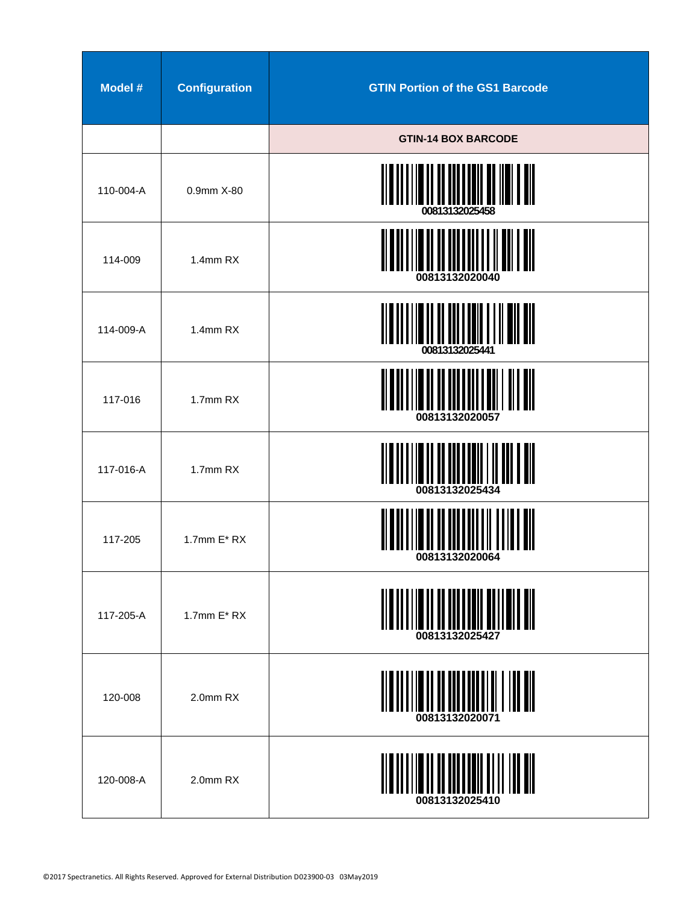| Model #   | <b>Configuration</b> | <b>GTIN Portion of the GS1 Barcode</b> |
|-----------|----------------------|----------------------------------------|
|           |                      | <b>GTIN-14 BOX BARCODE</b>             |
| 110-004-A | 0.9mm X-80           | 00813132025458                         |
| 114-009   | 1.4mm RX             | 00813132020040                         |
| 114-009-A | 1.4mm RX             | 00813132025441                         |
| 117-016   | 1.7mm RX             | 00813132020057                         |
| 117-016-A | 1.7mm RX             | 00813132025434                         |
| 117-205   | 1.7mm $E^* RX$       | 00813132020064                         |
| 117-205-A | 1.7mm $E^* RX$       | <u>MANAMAN MANAMAN MUTI</u>            |
| 120-008   | 2.0mm RX             |                                        |
| 120-008-A | 2.0mm RX             |                                        |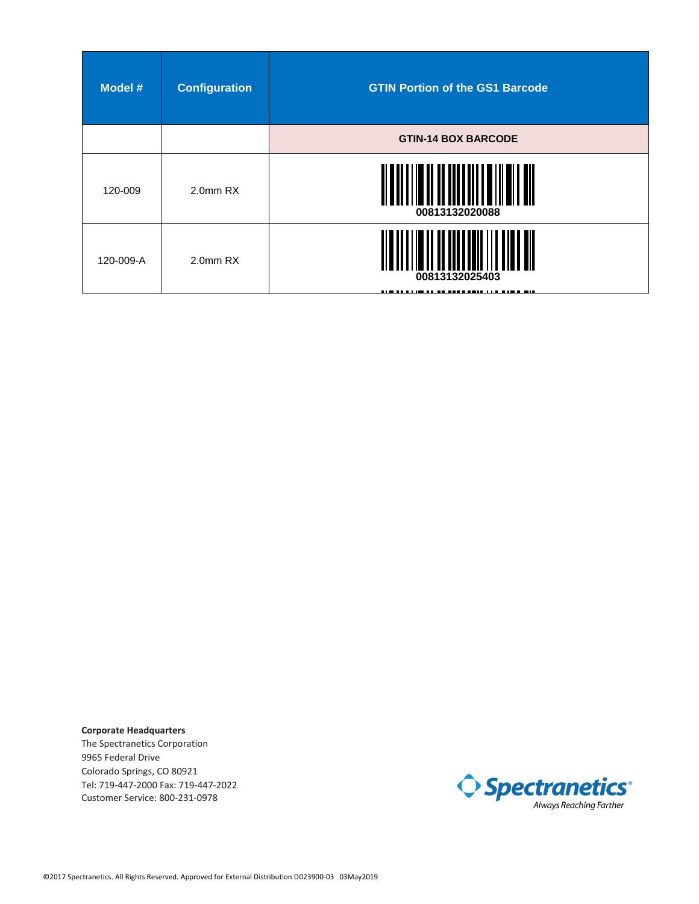| Model #   | <b>Configuration</b> | <b>GTIN Portion of the GS1 Barcode</b> |
|-----------|----------------------|----------------------------------------|
|           |                      | <b>GTIN-14 BOX BARCODE</b>             |
| 120-009   | 2.0mm RX             | 00813132020088                         |
| 120-009-A | 2.0 <sub>mm</sub> RX | 00813132025403<br>- 11                 |

**Corporate Headquarters** The Spectranetics Corporation 9965 Federal Drive Colorado Springs, CO 80921 Tel: 719-447-2000 Fax: 719-447-2022 Customer Service: 800-231-0978

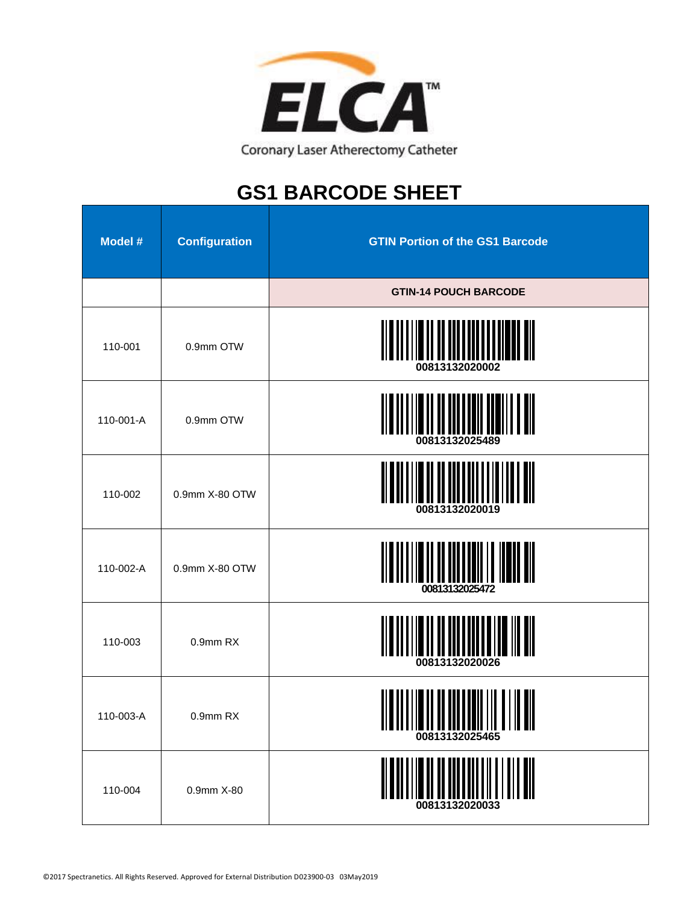

## **GS1 BARCODE SHEET**

| <b>Model #</b> | <b>Configuration</b> | <b>GTIN Portion of the GS1 Barcode</b> |
|----------------|----------------------|----------------------------------------|
|                |                      | <b>GTIN-14 POUCH BARCODE</b>           |
| 110-001        | 0.9mm OTW            | 00813132020002                         |
| 110-001-A      | 0.9mm OTW            | 00813132025489                         |
| 110-002        | 0.9mm X-80 OTW       | 00813132020019                         |
| 110-002-A      | 0.9mm X-80 OTW       | 00813132025472                         |
| 110-003        | 0.9mm RX             | 00813132020026                         |
| 110-003-A      | 0.9mm RX             | 00813132025465                         |
| 110-004        | 0.9mm X-80           | 00813132020033                         |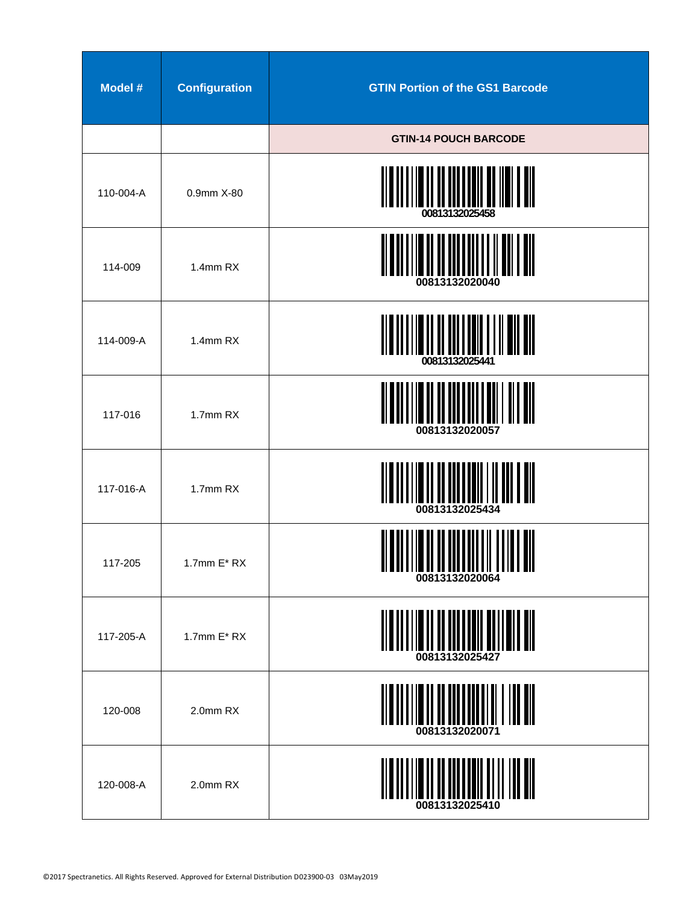| Model #   | <b>Configuration</b> | <b>GTIN Portion of the GS1 Barcode</b> |
|-----------|----------------------|----------------------------------------|
|           |                      | <b>GTIN-14 POUCH BARCODE</b>           |
| 110-004-A | 0.9mm X-80           | 00813132025458                         |
| 114-009   | 1.4mm RX             | 00813132020040                         |
| 114-009-A | $1.4$ mm $RX$        | 00813132025441                         |
| 117-016   | 1.7mm RX             | 00813132020057                         |
| 117-016-A | 1.7mm RX             | 00813132025434                         |
| 117-205   | 1.7 $mm E^* RX$      | ,,,,,,,<br>,,,,,,,,,<br>00813132020064 |
| 117-205-A | 1.7mm $E^* RX$       | 00813132025427                         |
| 120-008   | 2.0mm RX             | 00813132020071                         |
| 120-008-A | 2.0mm RX             | $\  \, \  \  \  \  \  \  \ $           |